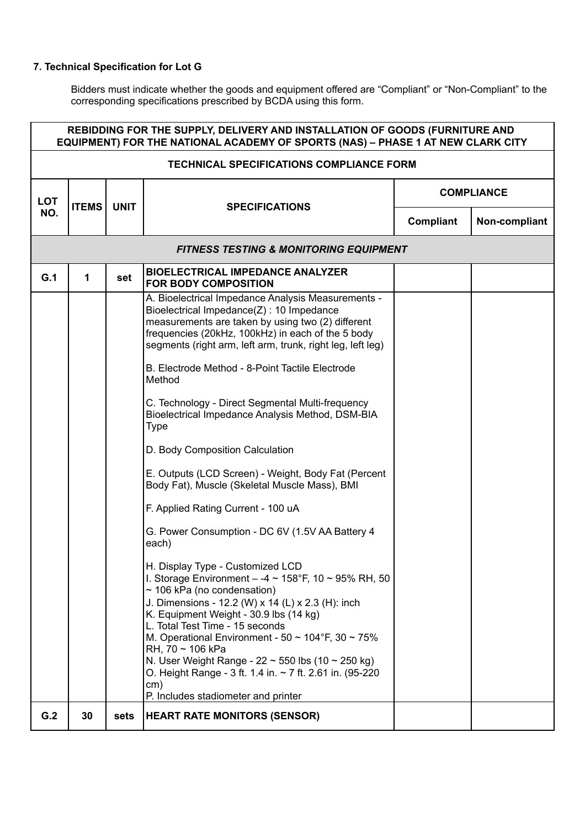| REBIDDING FOR THE SUPPLY, DELIVERY AND INSTALLATION OF GOODS (FURNITURE AND<br>EQUIPMENT) FOR THE NATIONAL ACADEMY OF SPORTS (NAS) - PHASE 1 AT NEW CLARK CITY |                                                   |                                      |                                                                                                                                                                                                                                                                                                                                                                                                                                                                                                                                                                                                                                                                                                                                                                                                                                                                                                                                                                                                                                                                                                                                                                                                                                                      |                   |  |  |  |
|----------------------------------------------------------------------------------------------------------------------------------------------------------------|---------------------------------------------------|--------------------------------------|------------------------------------------------------------------------------------------------------------------------------------------------------------------------------------------------------------------------------------------------------------------------------------------------------------------------------------------------------------------------------------------------------------------------------------------------------------------------------------------------------------------------------------------------------------------------------------------------------------------------------------------------------------------------------------------------------------------------------------------------------------------------------------------------------------------------------------------------------------------------------------------------------------------------------------------------------------------------------------------------------------------------------------------------------------------------------------------------------------------------------------------------------------------------------------------------------------------------------------------------------|-------------------|--|--|--|
| <b>TECHNICAL SPECIFICATIONS COMPLIANCE FORM</b>                                                                                                                |                                                   |                                      |                                                                                                                                                                                                                                                                                                                                                                                                                                                                                                                                                                                                                                                                                                                                                                                                                                                                                                                                                                                                                                                                                                                                                                                                                                                      |                   |  |  |  |
| <b>LOT</b>                                                                                                                                                     | <b>ITEMS</b>                                      | <b>UNIT</b><br><b>SPECIFICATIONS</b> |                                                                                                                                                                                                                                                                                                                                                                                                                                                                                                                                                                                                                                                                                                                                                                                                                                                                                                                                                                                                                                                                                                                                                                                                                                                      | <b>COMPLIANCE</b> |  |  |  |
| NO.                                                                                                                                                            |                                                   |                                      | <b>Compliant</b>                                                                                                                                                                                                                                                                                                                                                                                                                                                                                                                                                                                                                                                                                                                                                                                                                                                                                                                                                                                                                                                                                                                                                                                                                                     | Non-compliant     |  |  |  |
|                                                                                                                                                                | <b>FITNESS TESTING &amp; MONITORING EQUIPMENT</b> |                                      |                                                                                                                                                                                                                                                                                                                                                                                                                                                                                                                                                                                                                                                                                                                                                                                                                                                                                                                                                                                                                                                                                                                                                                                                                                                      |                   |  |  |  |
| G.1                                                                                                                                                            | 1                                                 | set                                  | <b>BIOELECTRICAL IMPEDANCE ANALYZER</b><br><b>FOR BODY COMPOSITION</b>                                                                                                                                                                                                                                                                                                                                                                                                                                                                                                                                                                                                                                                                                                                                                                                                                                                                                                                                                                                                                                                                                                                                                                               |                   |  |  |  |
|                                                                                                                                                                |                                                   |                                      | A. Bioelectrical Impedance Analysis Measurements -<br>Bioelectrical Impedance(Z) : 10 Impedance<br>measurements are taken by using two (2) different<br>frequencies (20kHz, 100kHz) in each of the 5 body<br>segments (right arm, left arm, trunk, right leg, left leg)<br>B. Electrode Method - 8-Point Tactile Electrode<br>Method<br>C. Technology - Direct Segmental Multi-frequency<br>Bioelectrical Impedance Analysis Method, DSM-BIA<br><b>Type</b><br>D. Body Composition Calculation<br>E. Outputs (LCD Screen) - Weight, Body Fat (Percent<br>Body Fat), Muscle (Skeletal Muscle Mass), BMI<br>F. Applied Rating Current - 100 uA<br>G. Power Consumption - DC 6V (1.5V AA Battery 4<br>each)<br>H. Display Type - Customized LCD<br>I. Storage Environment - $-4 \sim 158$ °F, 10 ~ 95% RH, 50<br>$\sim$ 106 kPa (no condensation)<br>J. Dimensions - 12.2 (W) x 14 (L) x 2.3 (H): inch<br>K. Equipment Weight - 30.9 lbs (14 kg)<br>L. Total Test Time - 15 seconds<br>M. Operational Environment - 50 $\sim$ 104°F, 30 $\sim$ 75%<br>$RH$ , 70 ~ 106 kPa<br>N. User Weight Range - $22 \sim 550$ lbs (10 $\sim$ 250 kg)<br>O. Height Range - 3 ft. 1.4 in. $\sim$ 7 ft. 2.61 in. (95-220<br>cm)<br>P. Includes stadiometer and printer |                   |  |  |  |
| G.2                                                                                                                                                            | 30                                                | sets                                 | <b>HEART RATE MONITORS (SENSOR)</b>                                                                                                                                                                                                                                                                                                                                                                                                                                                                                                                                                                                                                                                                                                                                                                                                                                                                                                                                                                                                                                                                                                                                                                                                                  |                   |  |  |  |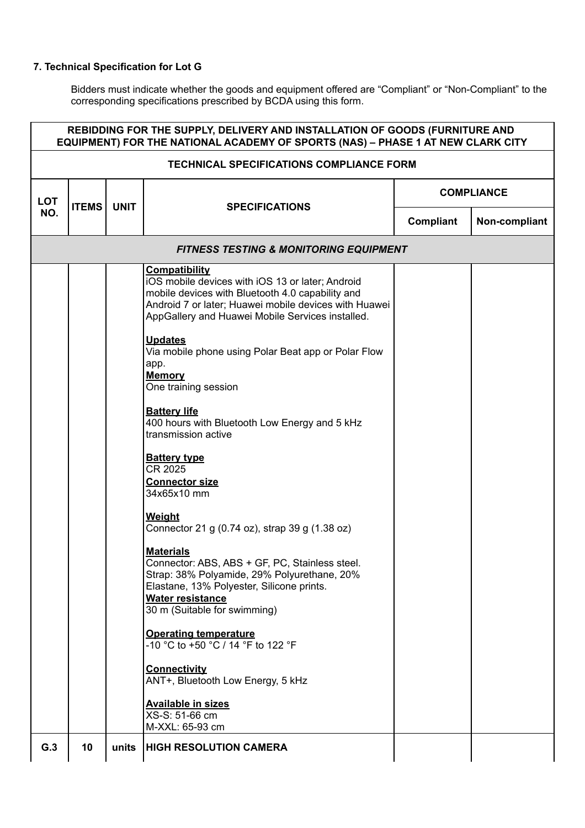| <b>TECHNICAL SPECIFICATIONS COMPLIANCE FORM</b><br><b>COMPLIANCE</b><br><b>LOT</b><br><b>ITEMS</b><br><b>UNIT</b><br><b>SPECIFICATIONS</b><br>NO.<br>Compliant<br><b>FITNESS TESTING &amp; MONITORING EQUIPMENT</b><br><b>Compatibility</b><br>iOS mobile devices with iOS 13 or later; Android<br>mobile devices with Bluetooth 4.0 capability and<br>Android 7 or later; Huawei mobile devices with Huawei<br>AppGallery and Huawei Mobile Services installed.<br><b>Updates</b><br>Via mobile phone using Polar Beat app or Polar Flow<br>app.<br><b>Memory</b><br>One training session<br><b>Battery life</b><br>400 hours with Bluetooth Low Energy and 5 kHz<br>transmission active<br><b>Battery type</b><br>CR 2025<br><b>Connector size</b><br>34x65x10 mm<br>Weight<br>Connector 21 g (0.74 oz), strap 39 g (1.38 oz)<br><b>Materials</b><br>Connector: ABS, ABS + GF, PC, Stainless steel.<br>Strap: 38% Polyamide, 29% Polyurethane, 20%<br>Elastane, 13% Polyester, Silicone prints.<br><b>Water resistance</b><br>30 m (Suitable for swimming)<br><b>Operating temperature</b><br>-10 °C to +50 °C / 14 °F to 122 °F<br><b>Connectivity</b><br>ANT+, Bluetooth Low Energy, 5 kHz<br><b>Available in sizes</b><br>XS-S: 51-66 cm<br>M-XXL: 65-93 cm<br>G.3<br>10<br><b>HIGH RESOLUTION CAMERA</b><br>units | REBIDDING FOR THE SUPPLY, DELIVERY AND INSTALLATION OF GOODS (FURNITURE AND<br>EQUIPMENT) FOR THE NATIONAL ACADEMY OF SPORTS (NAS) - PHASE 1 AT NEW CLARK CITY |  |  |  |               |  |  |  |
|-------------------------------------------------------------------------------------------------------------------------------------------------------------------------------------------------------------------------------------------------------------------------------------------------------------------------------------------------------------------------------------------------------------------------------------------------------------------------------------------------------------------------------------------------------------------------------------------------------------------------------------------------------------------------------------------------------------------------------------------------------------------------------------------------------------------------------------------------------------------------------------------------------------------------------------------------------------------------------------------------------------------------------------------------------------------------------------------------------------------------------------------------------------------------------------------------------------------------------------------------------------------------------------------------------------------------|----------------------------------------------------------------------------------------------------------------------------------------------------------------|--|--|--|---------------|--|--|--|
|                                                                                                                                                                                                                                                                                                                                                                                                                                                                                                                                                                                                                                                                                                                                                                                                                                                                                                                                                                                                                                                                                                                                                                                                                                                                                                                         |                                                                                                                                                                |  |  |  |               |  |  |  |
|                                                                                                                                                                                                                                                                                                                                                                                                                                                                                                                                                                                                                                                                                                                                                                                                                                                                                                                                                                                                                                                                                                                                                                                                                                                                                                                         |                                                                                                                                                                |  |  |  |               |  |  |  |
|                                                                                                                                                                                                                                                                                                                                                                                                                                                                                                                                                                                                                                                                                                                                                                                                                                                                                                                                                                                                                                                                                                                                                                                                                                                                                                                         |                                                                                                                                                                |  |  |  | Non-compliant |  |  |  |
|                                                                                                                                                                                                                                                                                                                                                                                                                                                                                                                                                                                                                                                                                                                                                                                                                                                                                                                                                                                                                                                                                                                                                                                                                                                                                                                         |                                                                                                                                                                |  |  |  |               |  |  |  |
|                                                                                                                                                                                                                                                                                                                                                                                                                                                                                                                                                                                                                                                                                                                                                                                                                                                                                                                                                                                                                                                                                                                                                                                                                                                                                                                         |                                                                                                                                                                |  |  |  |               |  |  |  |
|                                                                                                                                                                                                                                                                                                                                                                                                                                                                                                                                                                                                                                                                                                                                                                                                                                                                                                                                                                                                                                                                                                                                                                                                                                                                                                                         |                                                                                                                                                                |  |  |  |               |  |  |  |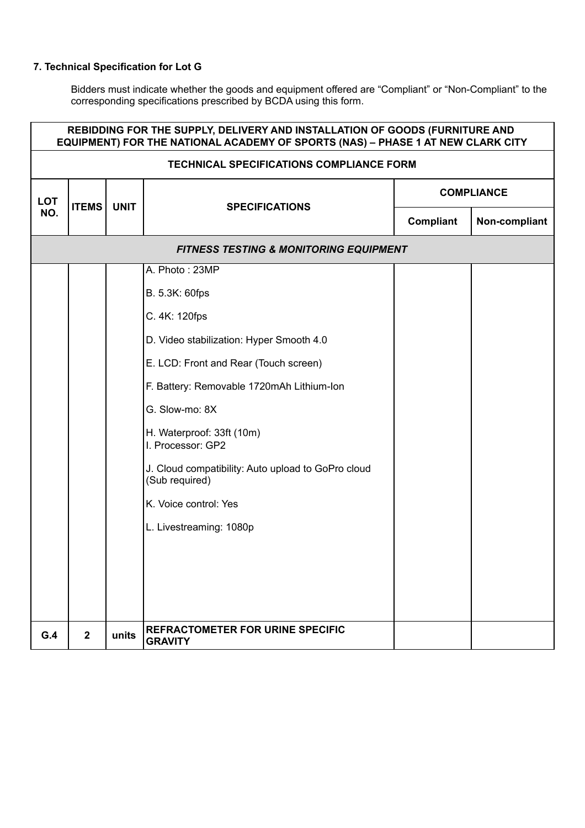| REBIDDING FOR THE SUPPLY, DELIVERY AND INSTALLATION OF GOODS (FURNITURE AND<br>EQUIPMENT) FOR THE NATIONAL ACADEMY OF SPORTS (NAS) - PHASE 1 AT NEW CLARK CITY |                |                                                      |                                                                      |                   |  |
|----------------------------------------------------------------------------------------------------------------------------------------------------------------|----------------|------------------------------------------------------|----------------------------------------------------------------------|-------------------|--|
| <b>TECHNICAL SPECIFICATIONS COMPLIANCE FORM</b>                                                                                                                |                |                                                      |                                                                      |                   |  |
| <b>LOT</b>                                                                                                                                                     |                | <b>ITEMS</b><br><b>UNIT</b><br><b>SPECIFICATIONS</b> |                                                                      | <b>COMPLIANCE</b> |  |
| NO.                                                                                                                                                            |                |                                                      | <b>Compliant</b>                                                     | Non-compliant     |  |
|                                                                                                                                                                |                |                                                      | <b>FITNESS TESTING &amp; MONITORING EQUIPMENT</b>                    |                   |  |
|                                                                                                                                                                |                |                                                      | A. Photo: 23MP                                                       |                   |  |
|                                                                                                                                                                |                |                                                      | B. 5.3K: 60fps                                                       |                   |  |
|                                                                                                                                                                |                |                                                      | C. 4K: 120fps                                                        |                   |  |
|                                                                                                                                                                |                |                                                      | D. Video stabilization: Hyper Smooth 4.0                             |                   |  |
|                                                                                                                                                                |                |                                                      | E. LCD: Front and Rear (Touch screen)                                |                   |  |
|                                                                                                                                                                |                |                                                      | F. Battery: Removable 1720mAh Lithium-Ion                            |                   |  |
|                                                                                                                                                                |                |                                                      | G. Slow-mo: 8X                                                       |                   |  |
|                                                                                                                                                                |                |                                                      | H. Waterproof: 33ft (10m)<br>I. Processor: GP2                       |                   |  |
|                                                                                                                                                                |                |                                                      | J. Cloud compatibility: Auto upload to GoPro cloud<br>(Sub required) |                   |  |
|                                                                                                                                                                |                |                                                      | K. Voice control: Yes                                                |                   |  |
|                                                                                                                                                                |                |                                                      | L. Livestreaming: 1080p                                              |                   |  |
|                                                                                                                                                                |                |                                                      |                                                                      |                   |  |
|                                                                                                                                                                |                |                                                      |                                                                      |                   |  |
|                                                                                                                                                                |                |                                                      |                                                                      |                   |  |
|                                                                                                                                                                |                |                                                      | <b>REFRACTOMETER FOR URINE SPECIFIC</b>                              |                   |  |
| G.4                                                                                                                                                            | $\overline{2}$ | units                                                | <b>GRAVITY</b>                                                       |                   |  |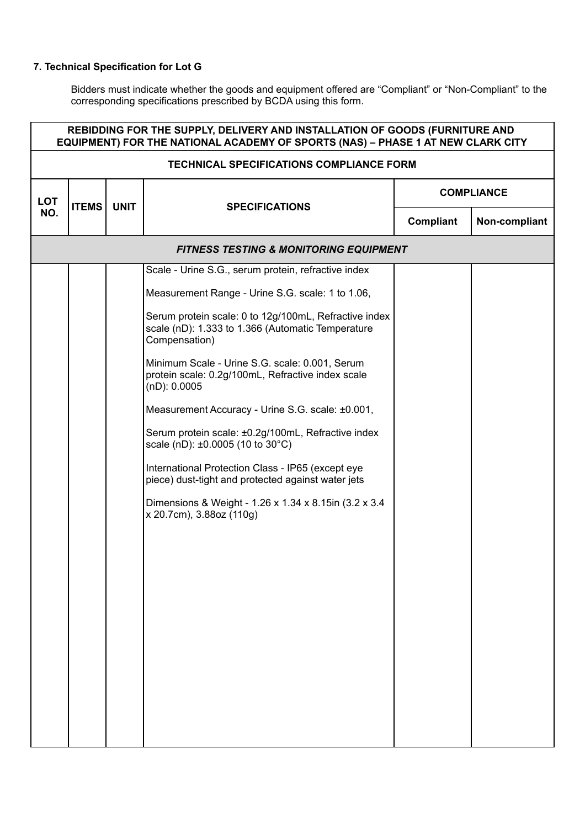| REBIDDING FOR THE SUPPLY, DELIVERY AND INSTALLATION OF GOODS (FURNITURE AND<br>EQUIPMENT) FOR THE NATIONAL ACADEMY OF SPORTS (NAS) - PHASE 1 AT NEW CLARK CITY |              |             |                                                                                                                             |                   |               |
|----------------------------------------------------------------------------------------------------------------------------------------------------------------|--------------|-------------|-----------------------------------------------------------------------------------------------------------------------------|-------------------|---------------|
| <b>TECHNICAL SPECIFICATIONS COMPLIANCE FORM</b>                                                                                                                |              |             |                                                                                                                             |                   |               |
| <b>LOT</b>                                                                                                                                                     | <b>ITEMS</b> | <b>UNIT</b> | <b>SPECIFICATIONS</b>                                                                                                       | <b>COMPLIANCE</b> |               |
| NO.                                                                                                                                                            |              |             |                                                                                                                             | Compliant         | Non-compliant |
|                                                                                                                                                                |              |             | <b>FITNESS TESTING &amp; MONITORING EQUIPMENT</b>                                                                           |                   |               |
|                                                                                                                                                                |              |             | Scale - Urine S.G., serum protein, refractive index                                                                         |                   |               |
|                                                                                                                                                                |              |             | Measurement Range - Urine S.G. scale: 1 to 1.06,                                                                            |                   |               |
|                                                                                                                                                                |              |             | Serum protein scale: 0 to 12g/100mL, Refractive index<br>scale (nD): 1.333 to 1.366 (Automatic Temperature<br>Compensation) |                   |               |
|                                                                                                                                                                |              |             | Minimum Scale - Urine S.G. scale: 0.001, Serum<br>protein scale: 0.2g/100mL, Refractive index scale<br>$(nD)$ : 0.0005      |                   |               |
|                                                                                                                                                                |              |             | Measurement Accuracy - Urine S.G. scale: ±0.001,                                                                            |                   |               |
|                                                                                                                                                                |              |             | Serum protein scale: ±0.2g/100mL, Refractive index<br>scale (nD): ±0.0005 (10 to 30°C)                                      |                   |               |
|                                                                                                                                                                |              |             | International Protection Class - IP65 (except eye<br>piece) dust-tight and protected against water jets                     |                   |               |
|                                                                                                                                                                |              |             | Dimensions & Weight - 1.26 x 1.34 x 8.15 in (3.2 x 3.4)<br>x 20.7cm), 3.88oz (110g)                                         |                   |               |
|                                                                                                                                                                |              |             |                                                                                                                             |                   |               |
|                                                                                                                                                                |              |             |                                                                                                                             |                   |               |
|                                                                                                                                                                |              |             |                                                                                                                             |                   |               |
|                                                                                                                                                                |              |             |                                                                                                                             |                   |               |
|                                                                                                                                                                |              |             |                                                                                                                             |                   |               |
|                                                                                                                                                                |              |             |                                                                                                                             |                   |               |